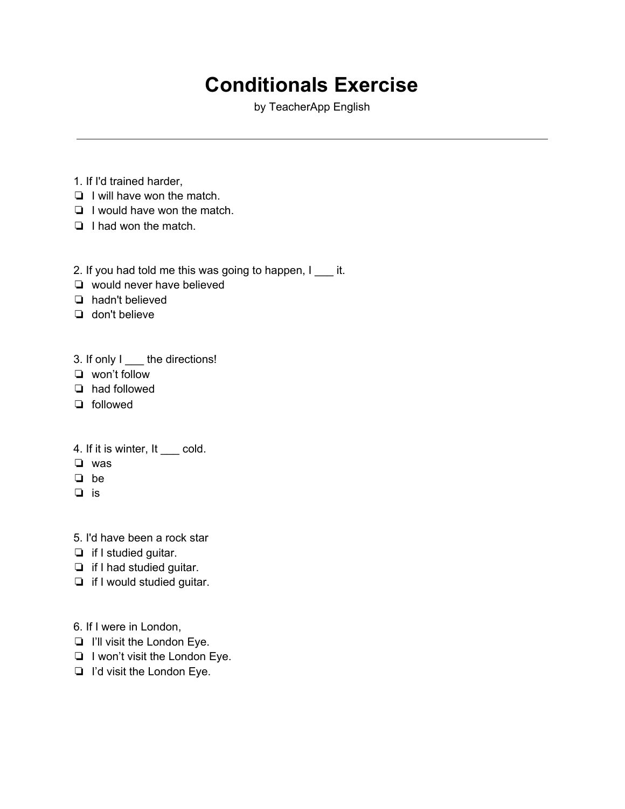## **Conditionals Exercise**

by TeacherApp English

- 1. If I'd trained harder,
- ❏ I will have won the match.
- ❏ I would have won the match.
- ❏ I had won the match.

2. If you had told me this was going to happen, I \_\_\_\_ it.

- ❏ would never have believed
- ❏ hadn't believed
- ❏ don't believe

3. If only I \_\_\_\_ the directions!

- ❏ won't follow
- ❏ had followed
- ❏ followed

## 4. If it is winter, It \_\_\_ cold.

- ❏ was
- ❏ be
- ❏ is
- 5. I'd have been a rock star
- ❏ if I studied guitar.
- ❏ if I had studied guitar.
- ❏ if I would studied guitar.
- 6. If I were in London,
- ❏ I'll visit the London Eye.
- ❏ I won't visit the London Eye.
- ❏ I'd visit the London Eye.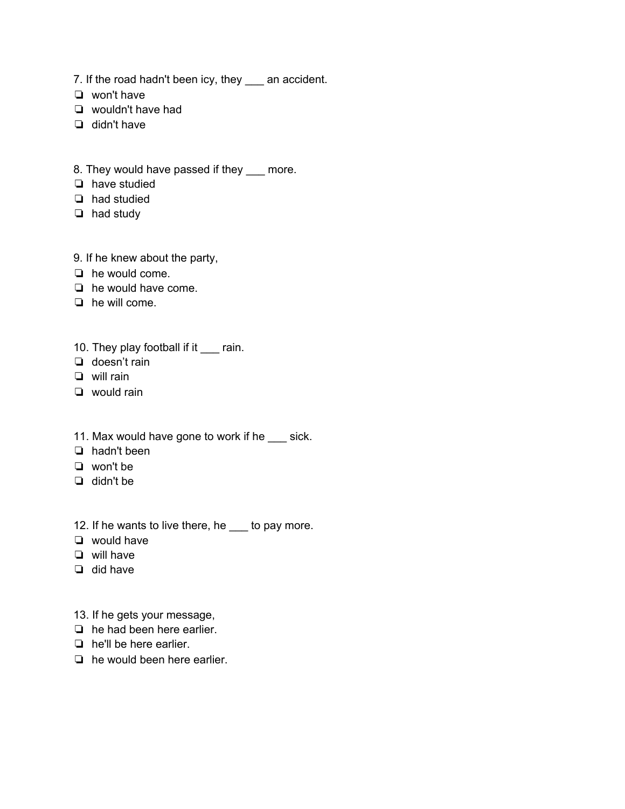- 7. If the road hadn't been icy, they \_\_\_ an accident.
- ❏ won't have
- ❏ wouldn't have had
- ❏ didn't have
- 8. They would have passed if they \_\_\_ more.
- ❏ have studied
- ❏ had studied
- ❏ had study
- 9. If he knew about the party,
- ❏ he would come.
- ❏ he would have come.
- ❏ he will come.
- 10. They play football if it \_\_\_ rain.
- ❏ doesn't rain
- ❏ will rain
- ❏ would rain
- 11. Max would have gone to work if he \_\_\_ sick.
- ❏ hadn't been
- ❏ won't be
- ❏ didn't be
- 12. If he wants to live there, he \_\_\_ to pay more.
- ❏ would have
- ❏ will have
- ❏ did have
- 13. If he gets your message,
- ❏ he had been here earlier.
- ❏ he'll be here earlier.
- ❏ he would been here earlier.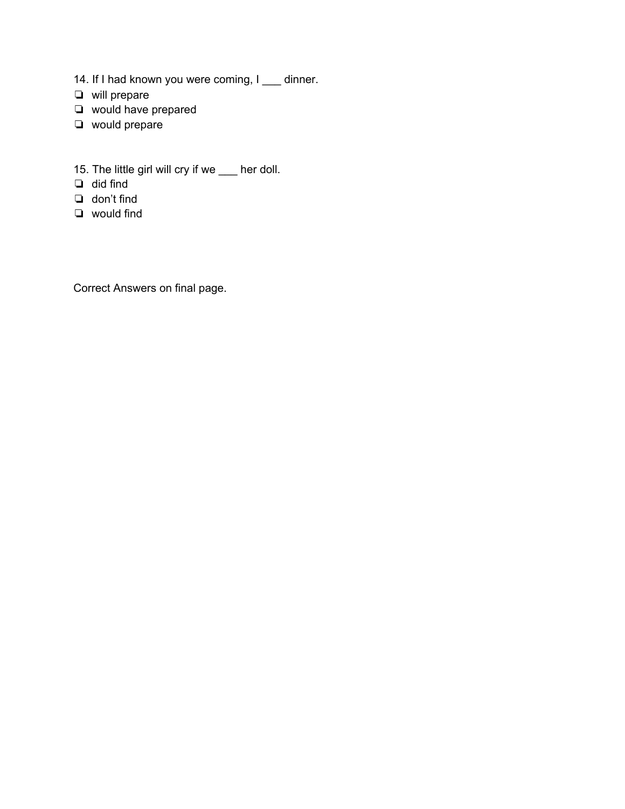- 14. If I had known you were coming, I \_\_\_ dinner.
- ❏ will prepare
- ❏ would have prepared
- ❏ would prepare
- 15. The little girl will cry if we \_\_\_ her doll.
- ❏ did find
- ❏ don't find
- ❏ would find

Correct Answers on final page.